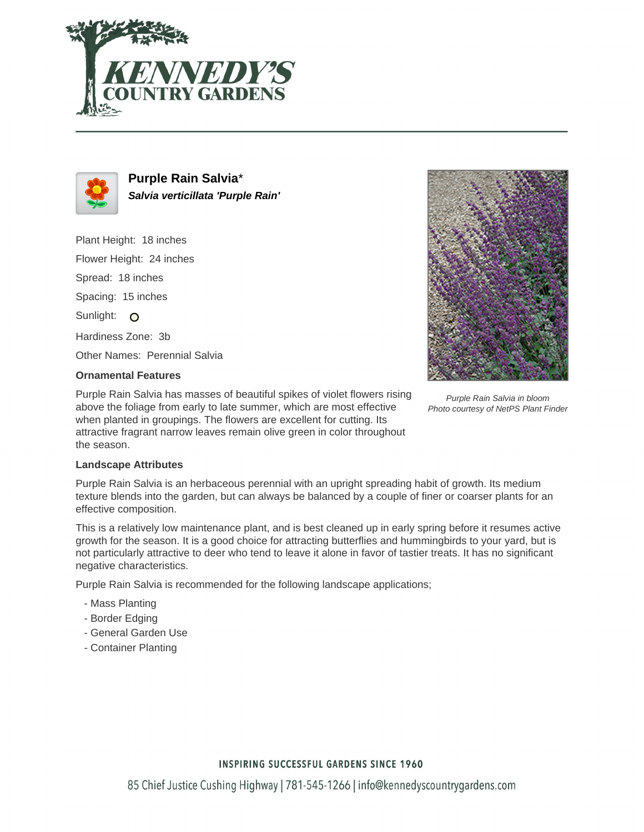



**Purple Rain Salvia**\* **Salvia verticillata 'Purple Rain'**

Plant Height: 18 inches Flower Height: 24 inches Spread: 18 inches Spacing: 15 inches Sunlight: O Hardiness Zone: 3b Other Names: Perennial Salvia



# **Ornamental Features**

Purple Rain Salvia has masses of beautiful spikes of violet flowers rising above the foliage from early to late summer, which are most effective when planted in groupings. The flowers are excellent for cutting. Its attractive fragrant narrow leaves remain olive green in color throughout the season.

#### Purple Rain Salvia in bloom Photo courtesy of NetPS Plant Finder

### **Landscape Attributes**

Purple Rain Salvia is an herbaceous perennial with an upright spreading habit of growth. Its medium texture blends into the garden, but can always be balanced by a couple of finer or coarser plants for an effective composition.

This is a relatively low maintenance plant, and is best cleaned up in early spring before it resumes active growth for the season. It is a good choice for attracting butterflies and hummingbirds to your yard, but is not particularly attractive to deer who tend to leave it alone in favor of tastier treats. It has no significant negative characteristics.

Purple Rain Salvia is recommended for the following landscape applications;

- Mass Planting
- Border Edging
- General Garden Use
- Container Planting

## **INSPIRING SUCCESSFUL GARDENS SINCE 1960**